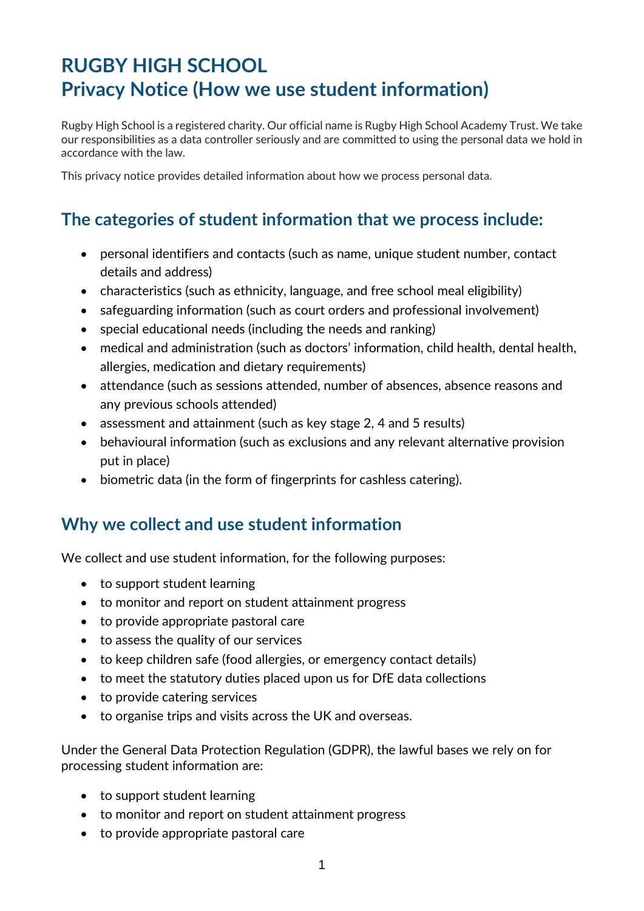# **RUGBY HIGH SCHOOL Privacy Notice (How we use student information)**

Rugby High School is a registered charity. Our official name is Rugby High School Academy Trust. We take our responsibilities as a data controller seriously and are committed to using the personal data we hold in accordance with the law.

This privacy notice provides detailed information about how we process personal data.

## **The categories of student information that we process include:**

- personal identifiers and contacts (such as name, unique student number, contact details and address)
- characteristics (such as ethnicity, language, and free school meal eligibility)
- safeguarding information (such as court orders and professional involvement)
- special educational needs (including the needs and ranking)
- medical and administration (such as doctors' information, child health, dental health, allergies, medication and dietary requirements)
- attendance (such as sessions attended, number of absences, absence reasons and any previous schools attended)
- assessment and attainment (such as key stage 2, 4 and 5 results)
- behavioural information (such as exclusions and any relevant alternative provision put in place)
- biometric data (in the form of fingerprints for cashless catering).

#### **Why we collect and use student information**

We collect and use student information, for the following purposes:

- to support student learning
- to monitor and report on student attainment progress
- to provide appropriate pastoral care
- to assess the quality of our services
- to keep children safe (food allergies, or emergency contact details)
- to meet the statutory duties placed upon us for DfE data collections
- to provide catering services
- to organise trips and visits across the UK and overseas.

Under the General Data Protection Regulation (GDPR), the lawful bases we rely on for processing student information are:

- to support student learning
- to monitor and report on student attainment progress
- to provide appropriate pastoral care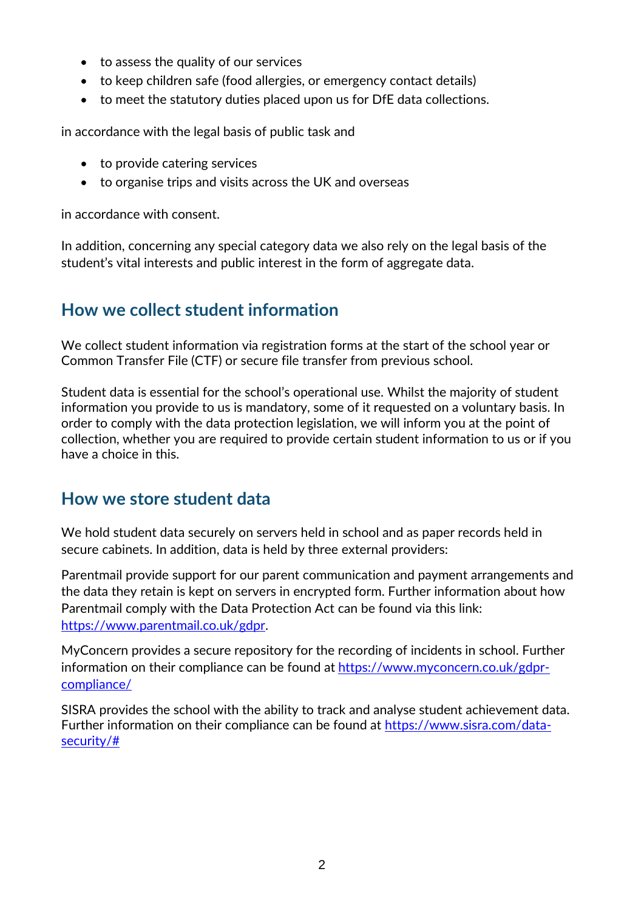- to assess the quality of our services
- to keep children safe (food allergies, or emergency contact details)
- to meet the statutory duties placed upon us for DfE data collections.

in accordance with the legal basis of public task and

- to provide catering services
- to organise trips and visits across the UK and overseas

in accordance with consent.

In addition, concerning any special category data we also rely on the legal basis of the student's vital interests and public interest in the form of aggregate data.

## **How we collect student information**

We collect student information via registration forms at the start of the school year or Common Transfer File (CTF) or secure file transfer from previous school.

Student data is essential for the school's operational use. Whilst the majority of student information you provide to us is mandatory, some of it requested on a voluntary basis. In order to comply with the data protection legislation, we will inform you at the point of collection, whether you are required to provide certain student information to us or if you have a choice in this.

#### **How we store student data**

We hold student data securely on servers held in school and as paper records held in secure cabinets. In addition, data is held by three external providers:

Parentmail provide support for our parent communication and payment arrangements and the data they retain is kept on servers in encrypted form. Further information about how Parentmail comply with the Data Protection Act can be found via this link: [https://www.parentmail.co.uk/gdpr.](https://www.parentmail.co.uk/gdpr)

MyConcern provides a secure repository for the recording of incidents in school. Further information on their compliance can be found at [https://www.myconcern.co.uk/gdpr](https://www.myconcern.co.uk/gdpr-compliance/)[compliance/](https://www.myconcern.co.uk/gdpr-compliance/)

SISRA provides the school with the ability to track and analyse student achievement data. Further information on their compliance can be found at [https://www.sisra.com/data](https://www.sisra.com/data-security/)[security/#](https://www.sisra.com/data-security/)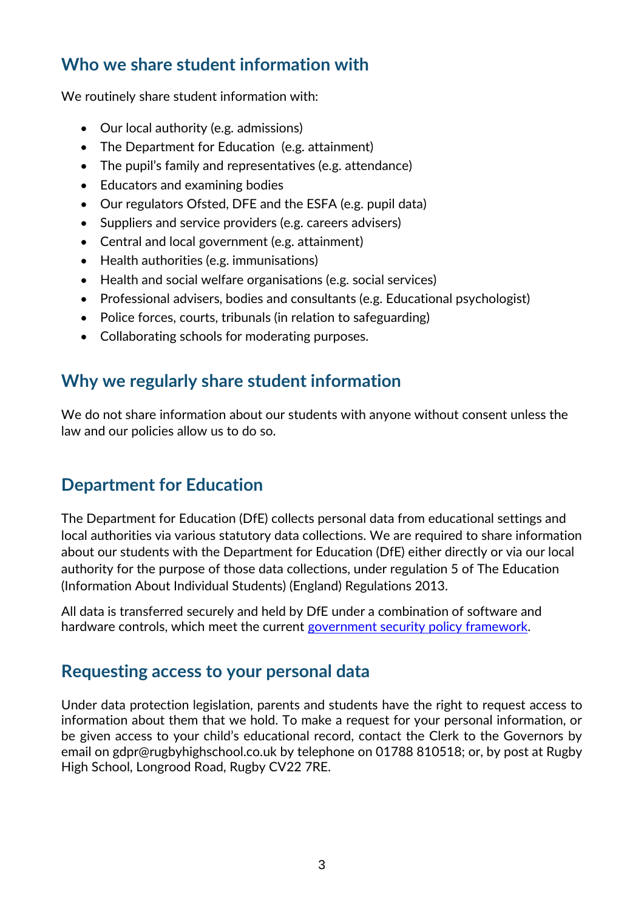#### **Who we share student information with**

We routinely share student information with:

- Our local authority (e.g. admissions)
- The Department for Education (e.g. attainment)
- The pupil's family and representatives (e.g. attendance)
- Educators and examining bodies
- Our regulators Ofsted, DFE and the ESFA (e.g. pupil data)
- Suppliers and service providers (e.g. careers advisers)
- Central and local government (e.g. attainment)
- Health authorities (e.g. immunisations)
- Health and social welfare organisations (e.g. social services)
- Professional advisers, bodies and consultants (e.g. Educational psychologist)
- Police forces, courts, tribunals (in relation to safeguarding)
- Collaborating schools for moderating purposes.

# **Why we regularly share student information**

We do not share information about our students with anyone without consent unless the law and our policies allow us to do so.

# **Department for Education**

The Department for Education (DfE) collects personal data from educational settings and local authorities via various statutory data collections. We are required to share information about our students with the Department for Education (DfE) either directly or via our local authority for the purpose of those data collections, under regulation 5 of The Education (Information About Individual Students) (England) Regulations 2013.

All data is transferred securely and held by DfE under a combination of software and hardware controls, which meet the current [government security policy framework.](https://www.gov.uk/government/publications/security-policy-framework)

#### **Requesting access to your personal data**

Under data protection legislation, parents and students have the right to request access to information about them that we hold. To make a request for your personal information, or be given access to your child's educational record, contact the Clerk to the Governors by email on [gdpr@rugbyhighschool.co.uk](mailto:gdpr@rugbyhighschool.co.uk) by telephone on 01788 810518; or, by post at Rugby High School, Longrood Road, Rugby CV22 7RE.